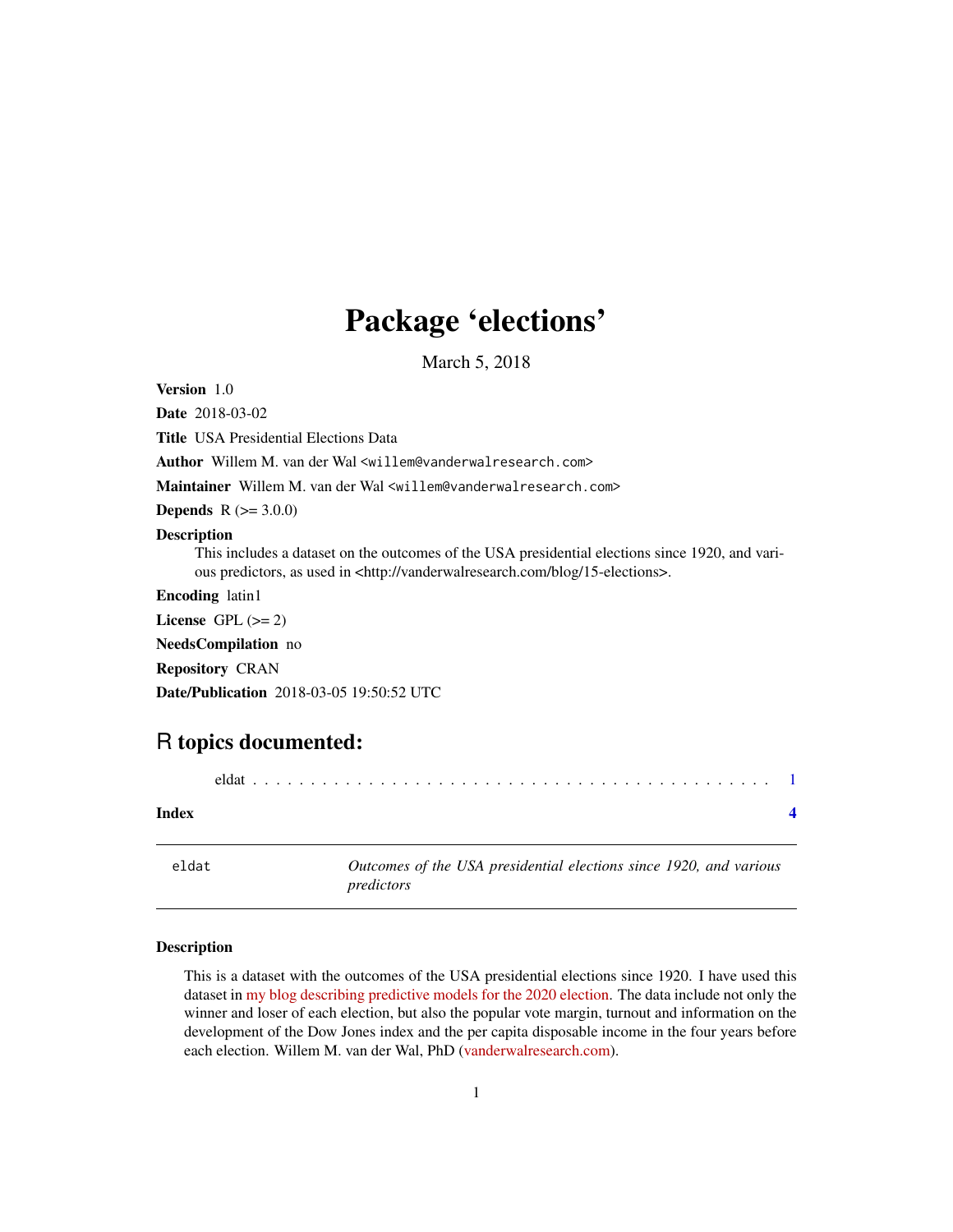## <span id="page-0-0"></span>Package 'elections'

March 5, 2018

Version 1.0

Date 2018-03-02

Title USA Presidential Elections Data Author Willem M. van der Wal <willem@vanderwalresearch.com> Maintainer Willem M. van der Wal <willem@vanderwalresearch.com> **Depends**  $R (= 3.0.0)$ Description This includes a dataset on the outcomes of the USA presidential elections since 1920, and various predictors, as used in <http://vanderwalresearch.com/blog/15-elections>. Encoding latin1 License GPL  $(>= 2)$ NeedsCompilation no Repository CRAN Date/Publication 2018-03-05 19:50:52 UTC

### R topics documented:

| Index |  |  |
|-------|--|--|
|       |  |  |

eldat *Outcomes of the USA presidential elections since 1920, and various predictors*

#### Description

This is a dataset with the outcomes of the USA presidential elections since 1920. I have used this dataset in [my blog describing predictive models for the 2020 election.](http://vanderwalresearch.com/blog/15-elections) The data include not only the winner and loser of each election, but also the popular vote margin, turnout and information on the development of the Dow Jones index and the per capita disposable income in the four years before each election. Willem M. van der Wal, PhD [\(vanderwalresearch.com\)](http://vanderwalresearch.com/).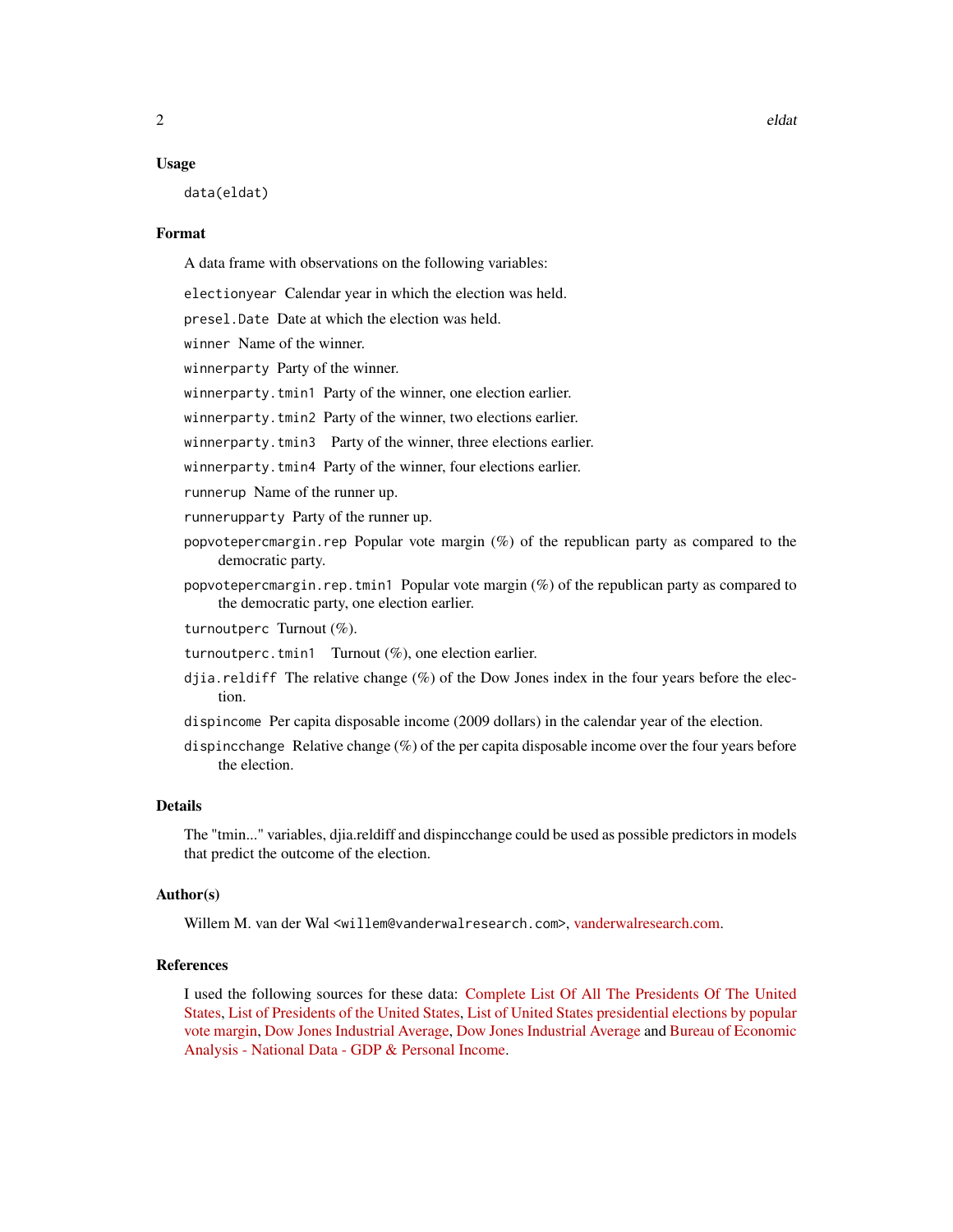#### Usage

data(eldat)

#### Format

A data frame with observations on the following variables:

electionyear Calendar year in which the election was held.

presel.Date Date at which the election was held.

winner Name of the winner.

winnerparty Party of the winner.

winnerparty.tmin1 Party of the winner, one election earlier.

winnerparty.tmin2 Party of the winner, two elections earlier.

winnerparty.tmin3 Party of the winner, three elections earlier.

winnerparty.tmin4 Party of the winner, four elections earlier.

runnerup Name of the runner up.

runnerupparty Party of the runner up.

- popvotepercmargin.rep Popular vote margin  $(\%)$  of the republican party as compared to the democratic party.
- popvotepercmargin.rep.tmin1 Popular vote margin (%) of the republican party as compared to the democratic party, one election earlier.

turnoutperc Turnout (%).

- turnoutperc.tmin1 Turnout (%), one election earlier.
- djia.reldiff The relative change  $(\%)$  of the Dow Jones index in the four years before the election.

dispincome Per capita disposable income (2009 dollars) in the calendar year of the election.

dispincchange Relative change (%) of the per capita disposable income over the four years before the election.

#### Details

The "tmin..." variables, djia.reldiff and dispincchange could be used as possible predictors in models that predict the outcome of the election.

#### Author(s)

Willem M. van der Wal <willem@vanderwalresearch.com>, [vanderwalresearch.com.](http://vanderwalresearch.com/)

#### References

I used the following sources for these data: [Complete List Of All The Presidents Of The United](http://australianpolitics.com/usa/president/list-of-presidents-of-the-united-states) [States,](http://australianpolitics.com/usa/president/list-of-presidents-of-the-united-states) [List of Presidents of the United States,](https://en.wikipedia.org/wiki/List_of_Presidents_of_the_United_States) [List of United States presidential elections by popular](https://en.wikipedia.org/wiki/List_of_United_States_presidential_elections_by_popular_vote_margin) [vote margin,](https://en.wikipedia.org/wiki/List_of_United_States_presidential_elections_by_popular_vote_margin) [Dow Jones Industrial Average,](https://www.quandl.com/data/BCB/UDJIAD1-Dow-Jones-Industrial-Average) [Dow Jones Industrial Average](https://fred.stlouisfed.org/series/DJIA) and [Bureau of Economic](https://bea.gov/iTable/index_nipa.cfm) [Analysis - National Data - GDP & Personal Income.](https://bea.gov/iTable/index_nipa.cfm)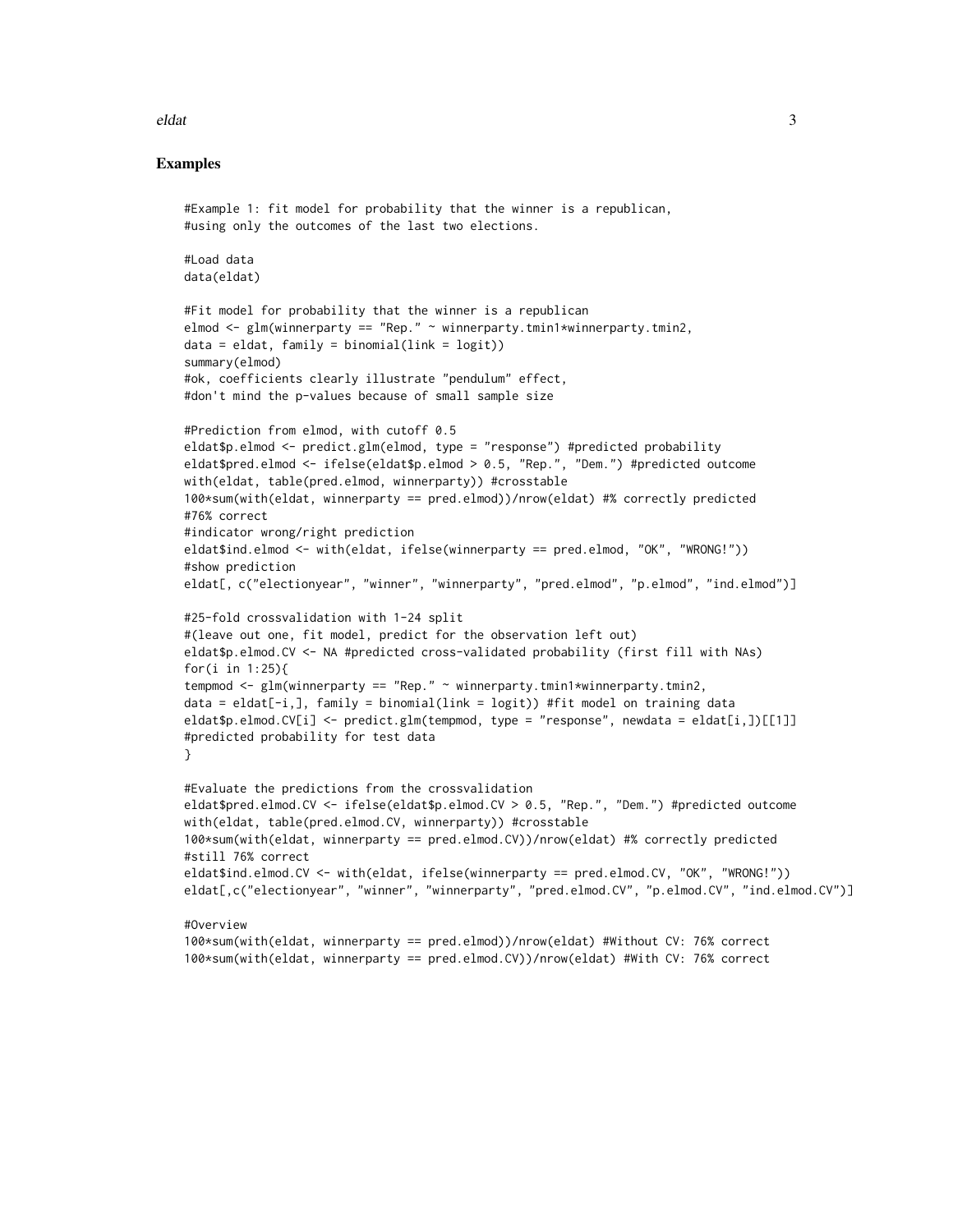#### eldat 3

#### Examples

```
#Example 1: fit model for probability that the winner is a republican,
#using only the outcomes of the last two elections.
#Load data
data(eldat)
#Fit model for probability that the winner is a republican
elmod <- glm(winnerparty == "Rep." ~ winnerparty.tmin1*winnerparty.tmin2,
data = eldat, family = binomial(link = logit)summary(elmod)
#ok, coefficients clearly illustrate "pendulum" effect,
#don't mind the p-values because of small sample size
#Prediction from elmod, with cutoff 0.5
eldat$p.elmod <- predict.glm(elmod, type = "response") #predicted probability
eldat$pred.elmod <- ifelse(eldat$p.elmod > 0.5, "Rep.", "Dem.") #predicted outcome
with(eldat, table(pred.elmod, winnerparty)) #crosstable
100*sum(with(eldat, winnerparty == pred.elmod))/nrow(eldat) #% correctly predicted
#76% correct
#indicator wrong/right prediction
eldat$ind.elmod <- with(eldat, ifelse(winnerparty == pred.elmod, "OK", "WRONG!"))
#show prediction
eldat[, c("electionyear", "winner", "winnerparty", "pred.elmod", "p.elmod", "ind.elmod")]
#25-fold crossvalidation with 1-24 split
#(leave out one, fit model, predict for the observation left out)
eldat$p.elmod.CV <- NA #predicted cross-validated probability (first fill with NAs)
for(i in 1:25){
tempmod <- glm(winnerparty == "Rep." ~ winnerparty.tmin1*winnerparty.tmin2,
data = eldat[-i,], family = binomial(link = logit)) #fit model on training data
eldat$p.elmod.CV[i] <- predict.glm(tempmod, type = "response", newdata = eldat[i,])[[1]]
#predicted probability for test data
}
#Evaluate the predictions from the crossvalidation
eldat$pred.elmod.CV <- ifelse(eldat$p.elmod.CV > 0.5, "Rep.", "Dem.") #predicted outcome
with(eldat, table(pred.elmod.CV, winnerparty)) #crosstable
100*sum(with(eldat, winnerparty == pred.elmod.CV))/nrow(eldat) #% correctly predicted
#still 76% correct
eldat$ind.elmod.CV <- with(eldat, ifelse(winnerparty == pred.elmod.CV, "OK", "WRONG!"))
eldat[,c("electionyear", "winner", "winnerparty", "pred.elmod.CV", "p.elmod.CV", "ind.elmod.CV")]
#Overview
100*sum(with(eldat, winnerparty == pred.elmod))/nrow(eldat) #Without CV: 76% correct
100*sum(with(eldat, winnerparty == pred.elmod.CV))/nrow(eldat) #With CV: 76% correct
```